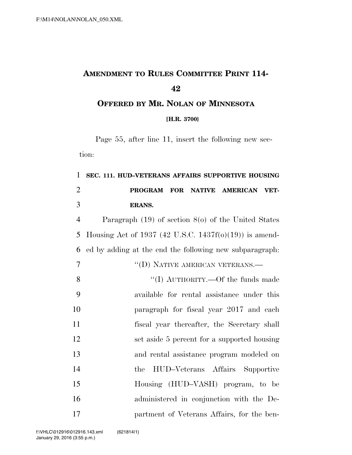## **AMENDMENT TO RULES COMMITTEE PRINT 114-**

**OFFERED BY MR. NOLAN OF MINNESOTA**

**[H.R. 3700}**

Page 55, after line 11, insert the following new section:

## **SEC. 111. HUD–VETERANS AFFAIRS SUPPORTIVE HOUSING PROGRAM FOR NATIVE AMERICAN VET-ERANS.**

 Paragraph (19) of section 8(o) of the United States Housing Act of 1937 (42 U.S.C. 1437f(o)(19)) is amend-ed by adding at the end the following new subparagraph:

 ''(D) NATIVE AMERICAN VETERANS.— 8  $\text{``(I) AUTHORITY} \rightarrow \text{Of the funds made}$ 

 available for rental assistance under this paragraph for fiscal year 2017 and each fiscal year thereafter, the Secretary shall set aside 5 percent for a supported housing and rental assistance program modeled on the HUD–Veterans Affairs Supportive Housing (HUD–VASH) program, to be administered in conjunction with the De-partment of Veterans Affairs, for the ben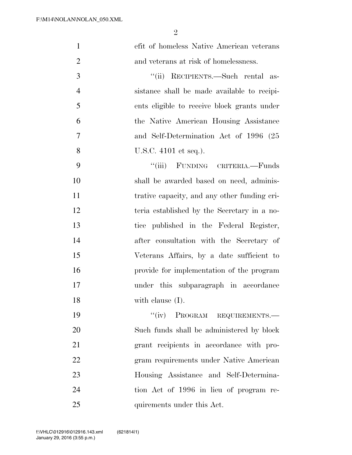| $\mathbf{1}$   | efit of homeless Native American veterans    |
|----------------|----------------------------------------------|
| $\overline{2}$ | and veterans at risk of homelessness.        |
| 3              | "(ii) RECIPIENTS.—Such rental as-            |
| $\overline{4}$ | sistance shall be made available to recipi-  |
| 5              | ents eligible to receive block grants under  |
| 6              | the Native American Housing Assistance       |
| $\overline{7}$ | and Self-Determination Act of 1996 (25       |
| 8              | U.S.C. 4101 et seq.).                        |
| 9              | "(iii) FUNDING CRITERIA.—Funds               |
| 10             | shall be awarded based on need, adminis-     |
| 11             | trative capacity, and any other funding cri- |
| 12             | teria established by the Secretary in a no-  |
| 13             | tice published in the Federal Register,      |
| 14             | after consultation with the Secretary of     |
| 15             | Veterans Affairs, by a date sufficient to    |
| 16             | provide for implementation of the program    |
| 17             | under this subparagraph in accordance        |
| 18             | with clause $(I)$ .                          |
| 19             | "(iv) PROGRAM REQUIREMENTS.-                 |
| 20             | Such funds shall be administered by block    |
| 21             | grant recipients in accordance with pro-     |
| 22             | gram requirements under Native American      |
| 23             | Housing Assistance and Self-Determina-       |
| 24             | tion Act of 1996 in lieu of program re-      |

quirements under this Act.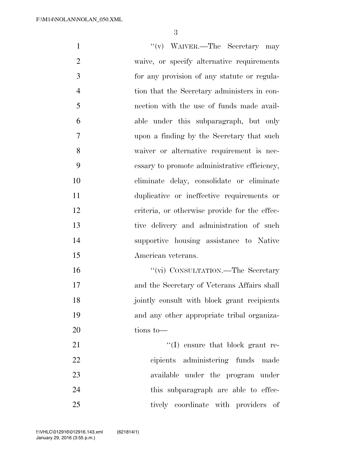1 ''(v) WAIVER.—The Secretary may waive, or specify alternative requirements for any provision of any statute or regula- tion that the Secretary administers in con- nection with the use of funds made avail- able under this subparagraph, but only upon a finding by the Secretary that such waiver or alternative requirement is nec- essary to promote administrative efficiency, eliminate delay, consolidate or eliminate duplicative or ineffective requirements or 12 criteria, or otherwise provide for the effec- tive delivery and administration of such supportive housing assistance to Native American veterans. 16 ''(vi) CONSULTATION.—The Secretary and the Secretary of Veterans Affairs shall jointly consult with block grant recipients and any other appropriate tribal organiza- tions to— 21 ''(I) ensure that block grant re- cipients administering funds made available under the program under 24 this subparagraph are able to effec-25 tively coordinate with providers of